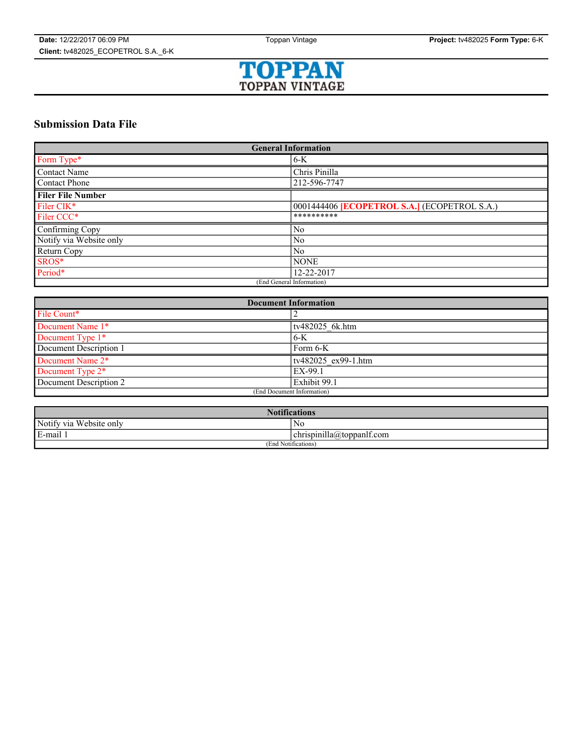

## **Submission Data File**

| <b>General Information</b> |                                                     |
|----------------------------|-----------------------------------------------------|
| Form Type*                 | $6-K$                                               |
| Contact Name               | Chris Pinilla                                       |
| Contact Phone              | 212-596-7747                                        |
| l Filer File Number        |                                                     |
| Filer CIK*                 | 0001444406 <b>[ECOPETROL S.A.]</b> (ECOPETROL S.A.) |
| Filer CCC <sup>*</sup>     | **********                                          |
| Confirming Copy            | N <sub>0</sub>                                      |
| Notify via Website only    | N <sub>0</sub>                                      |
| Return Copy                | N <sub>0</sub>                                      |
| SROS*                      | <b>NONE</b>                                         |
| Period*                    | 12-22-2017                                          |
| (End General Information)  |                                                     |

| <b>Document Information</b> |                     |
|-----------------------------|---------------------|
| File Count*                 |                     |
| Document Name 1*            | tv482025 6k.htm     |
| Document Type 1*            | 6-K                 |
| Document Description 1      | Form 6-K            |
| Document Name 2*            | tv482025 ex99-1.htm |
| Document Type 2*            | EX-99.1             |
| Document Description 2      | Exhibit 99.1        |
| (End Document Information)  |                     |

| <b>Notifications</b>         |                           |
|------------------------------|---------------------------|
| Notify via<br>u Website only | No                        |
| E-mail                       | chrispinilla@toppanlf.com |
| (End Notifications)          |                           |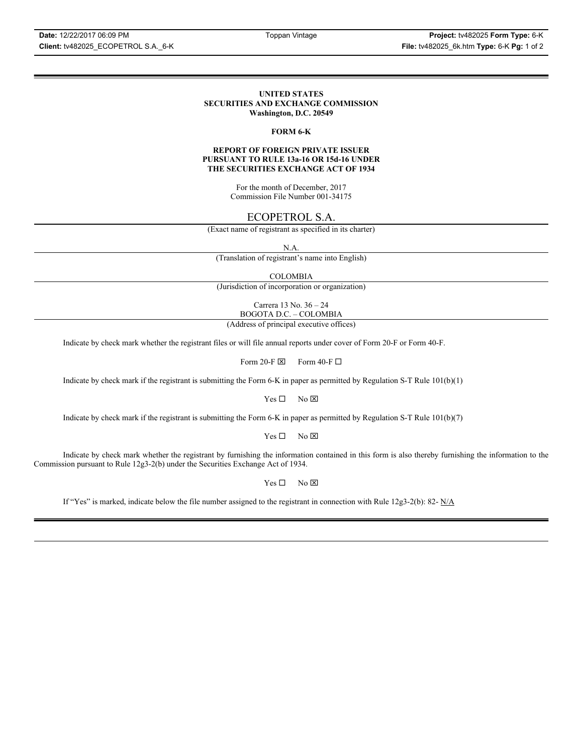#### **UNITED STATES SECURITIES AND EXCHANGE COMMISSION Washington, D.C. 20549**

#### **FORM 6-K**

#### **REPORT OF FOREIGN PRIVATE ISSUER PURSUANT TO RULE 13a-16 OR 15d-16 UNDER THE SECURITIES EXCHANGE ACT OF 1934**

For the month of December, 2017 Commission File Number 001-34175

### ECOPETROL S.A.

(Exact name of registrant as specified in its charter)

N.A.

(Translation of registrant's name into English)

COLOMBIA

(Jurisdiction of incorporation or organization)

Carrera 13 No. 36 – 24 BOGOTA D.C. – COLOMBIA

(Address of principal executive offices)

Indicate by check mark whether the registrant files or will file annual reports under cover of Form 20-F or Form 40-F.

Form 20-F  $\boxtimes$  Form 40-F  $\Box$ 

Indicate by check mark if the registrant is submitting the Form 6-K in paper as permitted by Regulation S-T Rule 101(b)(1)

 $Yes \Box$  No  $\boxtimes$ 

Indicate by check mark if the registrant is submitting the Form 6-K in paper as permitted by Regulation S-T Rule 101(b)(7)

 $Yes \Box$  No  $\boxtimes$ 

Indicate by check mark whether the registrant by furnishing the information contained in this form is also thereby furnishing the information to the Commission pursuant to Rule 12g3-2(b) under the Securities Exchange Act of 1934.

 $Yes \Box$  No  $\boxtimes$ 

If "Yes" is marked, indicate below the file number assigned to the registrant in connection with Rule 12g3-2(b): 82-  $N/A$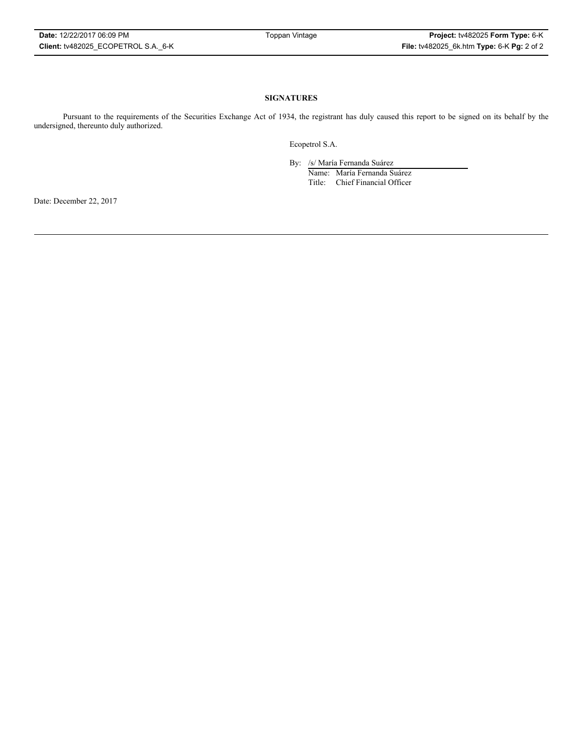#### **SIGNATURES**

Pursuant to the requirements of the Securities Exchange Act of 1934, the registrant has duly caused this report to be signed on its behalf by the undersigned, thereunto duly authorized.

Ecopetrol S.A.

By: /s/ María Fernanda Suárez

Name: María Fernanda Suárez Title: Chief Financial Officer

Date: December 22, 2017